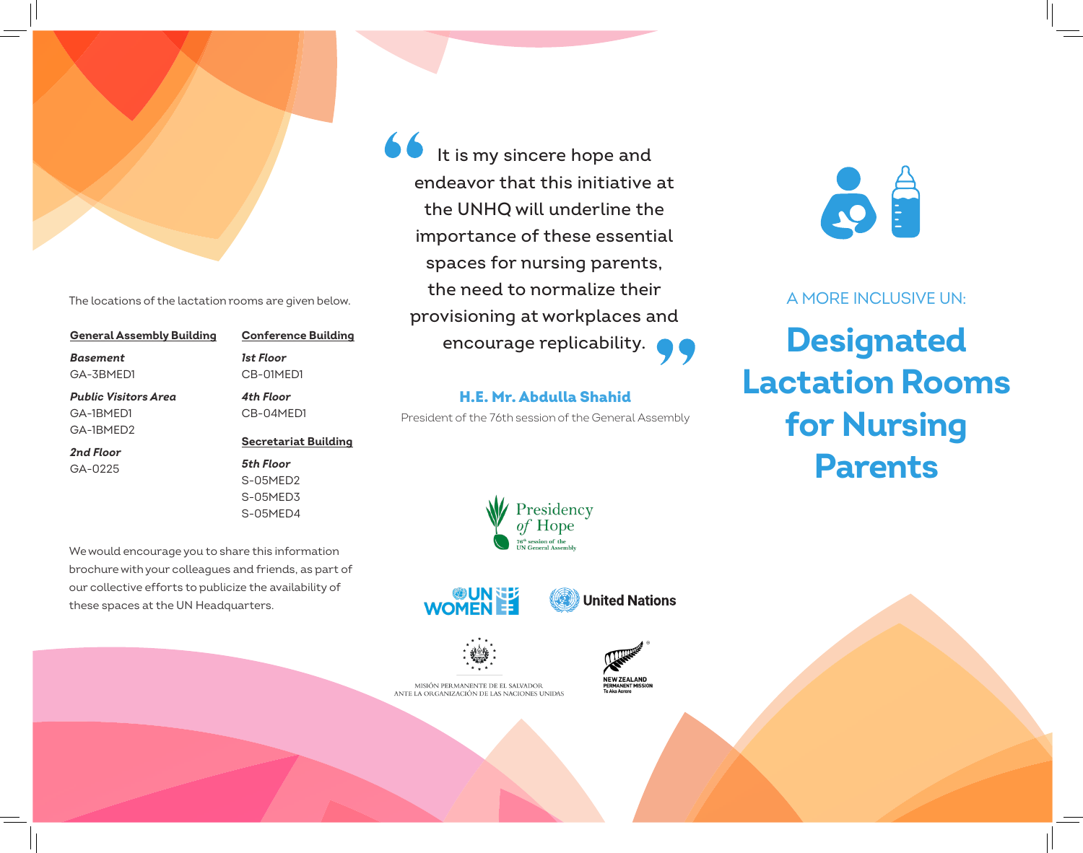

The locations of the lactation rooms are given below.

| <b>General Assembly Building</b> | <b>Conference Building</b>  |
|----------------------------------|-----------------------------|
| <b>Basement</b>                  | 1st Floor                   |
| GA-3BMED1                        | CB-01MFD1                   |
| Public Visitors Area             | 4th Floor                   |
| GA-1BMFD1                        | CB-04MFD1                   |
| GA-1BMFD2                        |                             |
| 2nd Floor                        | <b>Secretariat Building</b> |
| $GA-0225$                        | 5th Floor                   |
|                                  | $S-05MFD2$                  |
|                                  | S-05MED3                    |
|                                  | S-05MFD4                    |

We would encourage you to share this information brochure with your colleagues and friends, as part of our collective efforts to publicize the availability of these spaces at the UN Headquarters.

66 It is my sincere hope and endeavor that this initiative at the UNHQ will underline the importance of these essential spaces for nursing parents, the need to normalize their provisioning at workplaces and encourage replicability.

## H.E. Mr. Abdulla Shahid President of the 76th session of the General Assembly

Presidency *of* Hope 76<sup>th</sup> session of the<br>UN General Asseml





**NEW ZEALAND** 

**PERMANENT MI:**<br>Te Aka Aorere



MISIÓN PERMANENTE DE EL SALVADOR ANTE LA ORGANIZACIÓN DE LAS NACIONES UNIDAS



A MORE INCLUSIVE UN:

## **Designated Lactation Rooms** for Nursing Parents